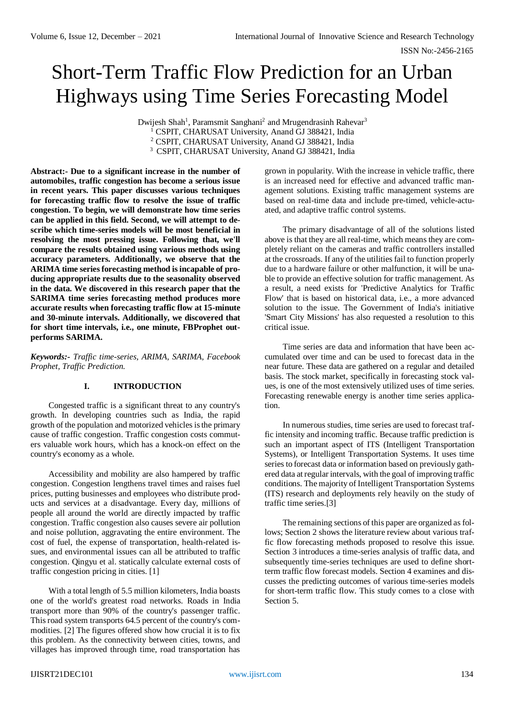# Short-Term Traffic Flow Prediction for an Urban Highways using Time Series Forecasting Model

Dwijesh Shah<sup>1</sup>, Paramsmit Sanghani<sup>2</sup> and Mrugendrasinh Rahevar<sup>3</sup>

<sup>1</sup> CSPIT, CHARUSAT University, Anand GJ 388421, India

<sup>2</sup> CSPIT, CHARUSAT University, Anand GJ 388421, India

<sup>3</sup> [CSPIT,](mailto:mrugendrarahevar.ce@charusat.ac.in,%20CSPIT) CHARUSAT University, Anand GJ 388421, India

**Abstract:- Due to a significant increase in the number of automobiles, traffic congestion has become a serious issue in recent years. This paper discusses various techniques for forecasting traffic flow to resolve the issue of traffic congestion. To begin, we will demonstrate how time series can be applied in this field. Second, we will attempt to describe which time-series models will be most beneficial in resolving the most pressing issue. Following that, we'll compare the results obtained using various methods using accuracy parameters. Additionally, we observe that the ARIMA time series forecasting method is incapable of producing appropriate results due to the seasonality observed in the data. We discovered in this research paper that the SARIMA time series forecasting method produces more accurate results when forecasting traffic flow at 15-minute and 30-minute intervals. Additionally, we discovered that for short time intervals, i.e., one minute, FBProphet outperforms SARIMA.**

*Keywords:- Traffic time-series, ARIMA, SARIMA, Facebook Prophet, Traffic Prediction.*

## **I. INTRODUCTION**

Congested traffic is a significant threat to any country's growth. In developing countries such as India, the rapid growth of the population and motorized vehicles is the primary cause of traffic congestion. Traffic congestion costs commuters valuable work hours, which has a knock-on effect on the country's economy as a whole.

Accessibility and mobility are also hampered by traffic congestion. Congestion lengthens travel times and raises fuel prices, putting businesses and employees who distribute products and services at a disadvantage. Every day, millions of people all around the world are directly impacted by traffic congestion. Traffic congestion also causes severe air pollution and noise pollution, aggravating the entire environment. The cost of fuel, the expense of transportation, health-related issues, and environmental issues can all be attributed to traffic congestion. Qingyu et al. statically calculate external costs of traffic congestion pricing in cities. [1]

With a total length of 5.5 million kilometers, India boasts one of the world's greatest road networks. Roads in India transport more than 90% of the country's passenger traffic. This road system transports 64.5 percent of the country's commodities. [2] The figures offered show how crucial it is to fix this problem. As the connectivity between cities, towns, and villages has improved through time, road transportation has

grown in popularity. With the increase in vehicle traffic, there is an increased need for effective and advanced traffic management solutions. Existing traffic management systems are based on real-time data and include pre-timed, vehicle-actuated, and adaptive traffic control systems.

The primary disadvantage of all of the solutions listed above is that they are all real-time, which means they are completely reliant on the cameras and traffic controllers installed at the crossroads. If any of the utilities fail to function properly due to a hardware failure or other malfunction, it will be unable to provide an effective solution for traffic management. As a result, a need exists for 'Predictive Analytics for Traffic Flow' that is based on historical data, i.e., a more advanced solution to the issue. The Government of India's initiative 'Smart City Missions' has also requested a resolution to this critical issue.

Time series are data and information that have been accumulated over time and can be used to forecast data in the near future. These data are gathered on a regular and detailed basis. The stock market, specifically in forecasting stock values, is one of the most extensively utilized uses of time series. Forecasting renewable energy is another time series application.

In numerous studies, time series are used to forecast traffic intensity and incoming traffic. Because traffic prediction is such an important aspect of ITS (Intelligent Transportation Systems), or Intelligent Transportation Systems. It uses time series to forecast data or information based on previously gathered data at regular intervals, with the goal of improving traffic conditions. The majority of Intelligent Transportation Systems (ITS) research and deployments rely heavily on the study of traffic time series.[3]

The remaining sections of this paper are organized as follows; Section 2 shows the literature review about various traffic flow forecasting methods proposed to resolve this issue. Section 3 introduces a time-series analysis of traffic data, and subsequently time-series techniques are used to define shortterm traffic flow forecast models. Section 4 examines and discusses the predicting outcomes of various time-series models for short-term traffic flow. This study comes to a close with Section 5.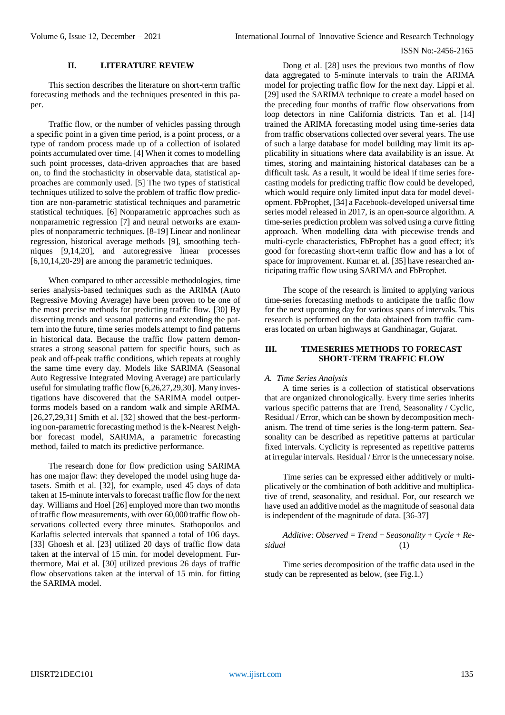#### ISSN No:-2456-2165

## **II. LITERATURE REVIEW**

This section describes the literature on short-term traffic forecasting methods and the techniques presented in this paper.

Traffic flow, or the number of vehicles passing through a specific point in a given time period, is a point process, or a type of random process made up of a collection of isolated points accumulated over time. [4] When it comes to modelling such point processes, data-driven approaches that are based on, to find the stochasticity in observable data, statistical approaches are commonly used. [5] The two types of statistical techniques utilized to solve the problem of traffic flow prediction are non-parametric statistical techniques and parametric statistical techniques. [6] Nonparametric approaches such as nonparametric regression [7] and neural networks are examples of nonparametric techniques. [8-19] Linear and nonlinear regression, historical average methods [9], smoothing techniques [9,14,20], and autoregressive linear processes [6,10,14,20-29] are among the parametric techniques.

When compared to other accessible methodologies, time series analysis-based techniques such as the ARIMA (Auto Regressive Moving Average) have been proven to be one of the most precise methods for predicting traffic flow. [30] By dissecting trends and seasonal patterns and extending the pattern into the future, time series models attempt to find patterns in historical data. Because the traffic flow pattern demonstrates a strong seasonal pattern for specific hours, such as peak and off-peak traffic conditions, which repeats at roughly the same time every day. Models like SARIMA (Seasonal Auto Regressive Integrated Moving Average) are particularly useful for simulating traffic flow [6,26,27,29,30]. Many investigations have discovered that the SARIMA model outperforms models based on a random walk and simple ARIMA. [26,27,29,31] Smith et al. [32] showed that the best-performing non-parametric forecasting method isthe k-Nearest Neighbor forecast model, SARIMA, a parametric forecasting method, failed to match its predictive performance.

The research done for flow prediction using SARIMA has one major flaw: they developed the model using huge datasets. Smith et al. [32], for example, used 45 days of data taken at 15-minute intervals to forecast traffic flow for the next day. Williams and Hoel [26] employed more than two months of traffic flow measurements, with over 60,000 traffic flow observations collected every three minutes. Stathopoulos and Karlaftis selected intervals that spanned a total of 106 days. [33] Ghoesh et al. [23] utilized 20 days of traffic flow data taken at the interval of 15 min. for model development. Furthermore, Mai et al. [30] utilized previous 26 days of traffic flow observations taken at the interval of 15 min. for fitting the SARIMA model.

Dong et al. [28] uses the previous two months of flow data aggregated to 5-minute intervals to train the ARIMA model for projecting traffic flow for the next day. Lippi et al. [29] used the SARIMA technique to create a model based on the preceding four months of traffic flow observations from loop detectors in nine California districts. Tan et al. [14] trained the ARIMA forecasting model using time-series data from traffic observations collected over several years. The use of such a large database for model building may limit its applicability in situations where data availability is an issue. At times, storing and maintaining historical databases can be a difficult task. As a result, it would be ideal if time series forecasting models for predicting traffic flow could be developed, which would require only limited input data for model development. FbProphet, [34] a Facebook-developed universal time series model released in 2017, is an open-source algorithm. A time-series prediction problem was solved using a curve fitting approach. When modelling data with piecewise trends and multi-cycle characteristics, FbProphet has a good effect; it's good for forecasting short-term traffic flow and has a lot of space for improvement. Kumar et. al. [35] have researched anticipating traffic flow using SARIMA and FbProphet.

The scope of the research is limited to applying various time-series forecasting methods to anticipate the traffic flow for the next upcoming day for various spans of intervals. This research is performed on the data obtained from traffic cameras located on urban highways at Gandhinagar, Gujarat.

## **III. TIMESERIES METHODS TO FORECAST SHORT-TERM TRAFFIC FLOW**

#### *A. Time Series Analysis*

A time series is a collection of statistical observations that are organized chronologically. Every time series inherits various specific patterns that are Trend, Seasonality / Cyclic, Residual / Error, which can be shown by decomposition mechanism. The trend of time series is the long-term pattern. Seasonality can be described as repetitive patterns at particular fixed intervals. Cyclicity is represented as repetitive patterns at irregular intervals. Residual / Error is the unnecessary noise.

Time series can be expressed either additively or multiplicatively or the combination of both additive and multiplicative of trend, seasonality, and residual. For, our research we have used an additive model as the magnitude of seasonal data is independent of the magnitude of data. [36-37]

## *Additive: Observed = Trend + Seasonality + Cycle + Residual* (1)

Time series decomposition of the traffic data used in the study can be represented as below, (see Fig.1.)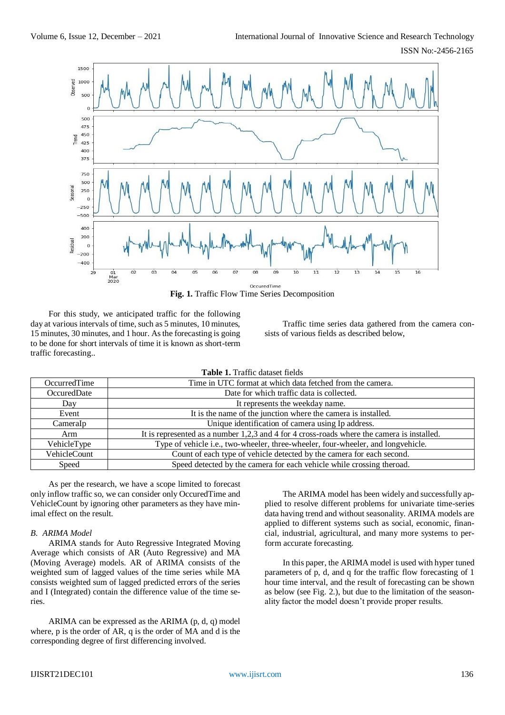

**Fig. 1.** Traffic Flow Time Series Decomposition

For this study, we anticipated traffic for the following day at various intervals of time, such as 5 minutes, 10 minutes, 15 minutes, 30 minutes, and 1 hour. As the forecasting is going to be done for short intervals of time it is known as short-term traffic forecasting..

Traffic time series data gathered from the camera consists of various fields as described below,

| OccurredTime | Time in UTC format at which data fetched from the camera.                                  |  |
|--------------|--------------------------------------------------------------------------------------------|--|
| OccuredDate  | Date for which traffic data is collected.                                                  |  |
| Day          | It represents the weekday name.                                                            |  |
| Event        | It is the name of the junction where the camera is installed.                              |  |
| CameraIp     | Unique identification of camera using Ip address.                                          |  |
| Arm          | It is represented as a number 1,2,3 and 4 for 4 cross-roads where the camera is installed. |  |
| VehicleType  | Type of vehicle i.e., two-wheeler, three-wheeler, four-wheeler, and longvehicle.           |  |
| VehicleCount | Count of each type of vehicle detected by the camera for each second.                      |  |
| Speed        | Speed detected by the camera for each vehicle while crossing theroad.                      |  |
|              |                                                                                            |  |

As per the research, we have a scope limited to forecast only inflow traffic so, we can consider only OccuredTime and VehicleCount by ignoring other parameters as they have minimal effect on the result.

## *B. ARIMA Model*

ARIMA stands for Auto Regressive Integrated Moving Average which consists of AR (Auto Regressive) and MA (Moving Average) models. AR of ARIMA consists of the weighted sum of lagged values of the time series while MA consists weighted sum of lagged predicted errors of the series and I (Integrated) contain the difference value of the time series.

ARIMA can be expressed as the ARIMA (p, d, q) model where, p is the order of AR, q is the order of MA and d is the corresponding degree of first differencing involved.

The ARIMA model has been widely and successfully applied to resolve different problems for univariate time-series data having trend and without seasonality. ARIMA models are applied to different systems such as social, economic, financial, industrial, agricultural, and many more systems to perform accurate forecasting.

In this paper, the ARIMA model is used with hyper tuned parameters of p, d, and q for the traffic flow forecasting of 1 hour time interval, and the result of forecasting can be shown as below (see Fig. 2.), but due to the limitation of the seasonality factor the model doesn't provide proper results.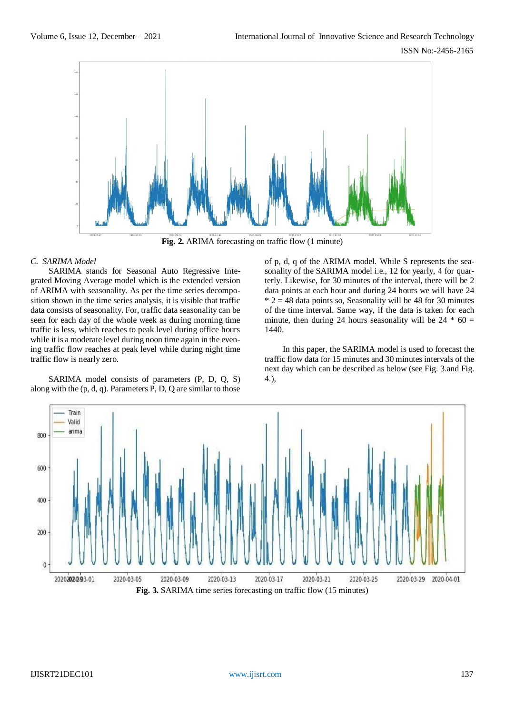

**Fig. 2.** ARIMA forecasting on traffic flow (1 minute)

## *C. SARIMA Model*

SARIMA stands for Seasonal Auto Regressive Integrated Moving Average model which is the extended version of ARIMA with seasonality. As per the time series decomposition shown in the time series analysis, it is visible that traffic data consists of seasonality. For, traffic data seasonality can be seen for each day of the whole week as during morning time traffic is less, which reaches to peak level during office hours while it is a moderate level during noon time again in the evening traffic flow reaches at peak level while during night time traffic flow is nearly zero.

SARIMA model consists of parameters (P, D, Q, S) along with the (p, d, q). Parameters P, D, Q are similar to those

of p, d, q of the ARIMA model. While S represents the seasonality of the SARIMA model i.e., 12 for yearly, 4 for quarterly. Likewise, for 30 minutes of the interval, there will be 2 data points at each hour and during 24 hours we will have 24  $* 2 = 48$  data points so, Seasonality will be 48 for 30 minutes of the time interval. Same way, if the data is taken for each minute, then during 24 hours seasonality will be  $24 * 60 =$ 1440.

In this paper, the SARIMA model is used to forecast the traffic flow data for 15 minutes and 30 minutes intervals of the next day which can be described as below (see Fig. 3.and Fig. 4.),

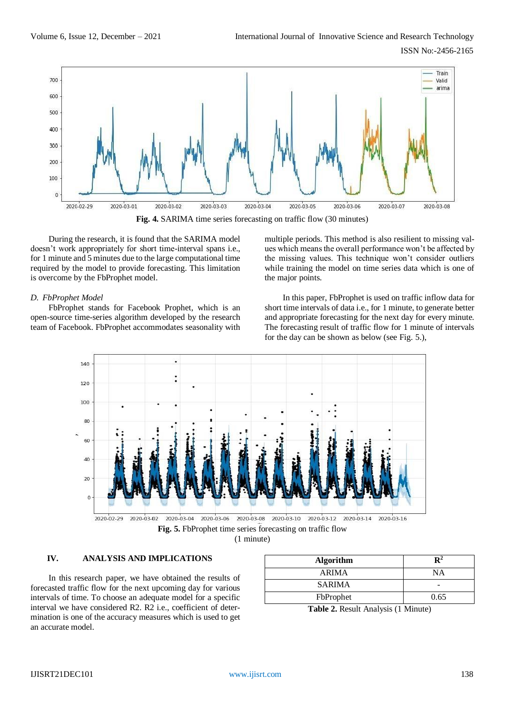

During the research, it is found that the SARIMA model doesn't work appropriately for short time-interval spans i.e., for 1 minute and 5 minutes due to the large computational time required by the model to provide forecasting. This limitation is overcome by the FbProphet model.

#### *D. FbProphet Model*

FbProphet stands for Facebook Prophet, which is an open-source time-series algorithm developed by the research team of Facebook. FbProphet accommodates seasonality with multiple periods. This method is also resilient to missing values which means the overall performance won't be affected by the missing values. This technique won't consider outliers while training the model on time series data which is one of the major points.

In this paper, FbProphet is used on traffic inflow data for short time intervals of data i.e., for 1 minute, to generate better and appropriate forecasting for the next day for every minute. The forecasting result of traffic flow for 1 minute of intervals for the day can be shown as below (see Fig. 5.),



## **IV. ANALYSIS AND IMPLICATIONS**

In this research paper, we have obtained the results of forecasted traffic flow for the next upcoming day for various intervals of time. To choose an adequate model for a specific interval we have considered R2. R2 i.e., coefficient of determination is one of the accuracy measures which is used to get an accurate model.

| <b>Algorithm</b> | $\mathbf{p}^2$ |
|------------------|----------------|
| <b>ARIMA</b>     | <b>NA</b>      |
| <b>SARIMA</b>    |                |
| FbProphet        | 0.65           |

**Table 2.** Result Analysis (1 Minute)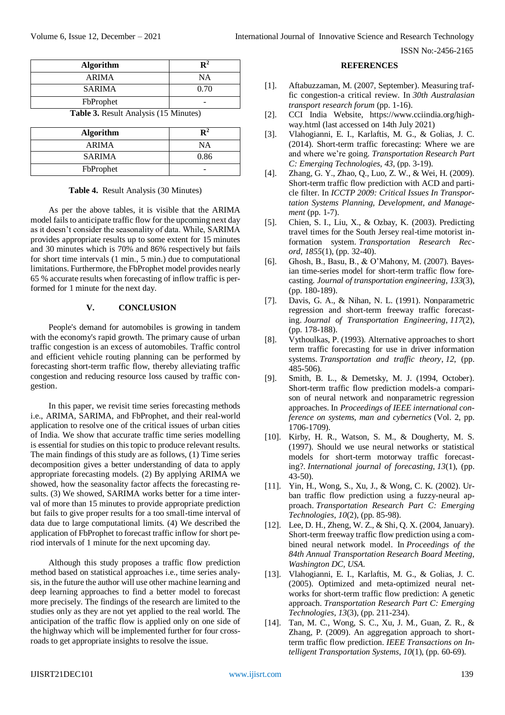ISSN No:-2456-2165

| <b>Algorithm</b> | $\mathbf{p}^2$ |
|------------------|----------------|
| <b>ARIMA</b>     | <b>NA</b>      |
| <b>SARIMA</b>    | 0.70           |
| FbProphet        |                |

**Table 3.** Result Analysis (15 Minutes)

| <b>Algorithm</b> | $\mathbf{R}^2$ |
|------------------|----------------|
| <b>ARIMA</b>     | <b>NA</b>      |
| <b>SARIMA</b>    | 0.86           |
| FbProphet        |                |

**Table 4.** Result Analysis (30 Minutes)

As per the above tables, it is visible that the ARIMA model fails to anticipate traffic flow for the upcoming next day as it doesn't consider the seasonality of data. While, SARIMA provides appropriate results up to some extent for 15 minutes and 30 minutes which is 70% and 86% respectively but fails for short time intervals (1 min., 5 min.) due to computational limitations. Furthermore, the FbProphet model provides nearly 65 % accurate results when forecasting of inflow traffic is performed for 1 minute for the next day.

## **V. CONCLUSION**

People's demand for automobiles is growing in tandem with the economy's rapid growth. The primary cause of urban traffic congestion is an excess of automobiles. Traffic control and efficient vehicle routing planning can be performed by forecasting short-term traffic flow, thereby alleviating traffic congestion and reducing resource loss caused by traffic congestion.

In this paper, we revisit time series forecasting methods i.e., ARIMA, SARIMA, and FbProphet, and their real-world application to resolve one of the critical issues of urban cities of India. We show that accurate traffic time series modelling is essential for studies on this topic to produce relevant results. The main findings of this study are as follows, (1) Time series decomposition gives a better understanding of data to apply appropriate forecasting models. (2) By applying ARIMA we showed, how the seasonality factor affects the forecasting results. (3) We showed, SARIMA works better for a time interval of more than 15 minutes to provide appropriate prediction but fails to give proper results for a too small-time interval of data due to large computational limits. (4) We described the application of FbProphet to forecast traffic inflow for short period intervals of 1 minute for the next upcoming day.

Although this study proposes a traffic flow prediction method based on statistical approaches i.e., time series analysis, in the future the author will use other machine learning and deep learning approaches to find a better model to forecast more precisely. The findings of the research are limited to the studies only as they are not yet applied to the real world. The anticipation of the traffic flow is applied only on one side of the highway which will be implemented further for four crossroads to get appropriate insights to resolve the issue.

#### **REFERENCES**

- [1]. Aftabuzzaman, M. (2007, September). Measuring traffic congestion-a critical review. In *30th Australasian transport research forum* (pp. 1-16).
- [2]. CCI India Website, [https://www.cciindia.org/high](https://www.cciindia.org/highway.html)[way.html](https://www.cciindia.org/highway.html) (last accessed on 14th July 2021)
- [3]. Vlahogianni, E. I., Karlaftis, M. G., & Golias, J. C. (2014). Short-term traffic forecasting: Where we are and where we're going. *Transportation Research Part C: Emerging Technologies*, *43*, (pp. 3-19).
- [4]. Zhang, G. Y., Zhao, Q., Luo, Z. W., & Wei, H. (2009). Short-term traffic flow prediction with ACD and particle filter. In *ICCTP 2009: Critical Issues In Transportation Systems Planning, Development, and Management* (pp. 1-7).
- [5]. Chien, S. I., Liu, X., & Ozbay, K. (2003). Predicting travel times for the South Jersey real-time motorist information system. *Transportation Research Record*, *1855*(1), (pp. 32-40).
- [6]. Ghosh, B., Basu, B., & O'Mahony, M. (2007). Bayesian time-series model for short-term traffic flow forecasting. *Journal of transportation engineering*, *133*(3), (pp. 180-189).
- [7]. Davis, G. A., & Nihan, N. L. (1991). Nonparametric regression and short-term freeway traffic forecasting. *Journal of Transportation Engineering*, *117*(2), (pp. 178-188).
- [8]. Vythoulkas, P. (1993). Alternative approaches to short term traffic forecasting for use in driver information systems. *Transportation and traffic theory*, *12*, (pp. 485-506).
- [9]. Smith, B. L., & Demetsky, M. J. (1994, October). Short-term traffic flow prediction models-a comparison of neural network and nonparametric regression approaches. In *Proceedings of IEEE international conference on systems, man and cybernetics* (Vol. 2, pp. 1706-1709).
- [10]. Kirby, H. R., Watson, S. M., & Dougherty, M. S. (1997). Should we use neural networks or statistical models for short-term motorway traffic forecasting?. *International journal of forecasting*, *13*(1), (pp. 43-50).
- [11]. Yin, H., Wong, S., Xu, J., & Wong, C. K. (2002). Urban traffic flow prediction using a fuzzy-neural approach. *Transportation Research Part C: Emerging Technologies*, *10*(2), (pp. 85-98).
- [12]. Lee, D. H., Zheng, W. Z., & Shi, Q. X. (2004, January). Short-term freeway traffic flow prediction using a combined neural network model. In *Proceedings of the 84th Annual Transportation Research Board Meeting, Washington DC, USA*.
- [13]. Vlahogianni, E. I., Karlaftis, M. G., & Golias, J. C. (2005). Optimized and meta-optimized neural networks for short-term traffic flow prediction: A genetic approach. *Transportation Research Part C: Emerging Technologies*, *13*(3), (pp. 211-234).
- [14]. Tan, M. C., Wong, S. C., Xu, J. M., Guan, Z. R., & Zhang, P. (2009). An aggregation approach to shortterm traffic flow prediction. *IEEE Transactions on Intelligent Transportation Systems*, *10*(1), (pp. 60-69).